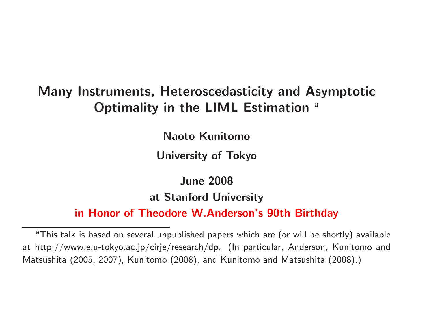### **Many Instruments, Heteroscedasticity and Asymptotic Optimality in the LIML Estimation** a

**Naoto Kunitomo**

**University of Tokyo**

**June 2008 at Stanford University**

**in Honor of Theodore W.Anderson's 90th Birthday**

<sup>&</sup>lt;sup>a</sup>This talk is based on several unpublished papers which are (or will be shortly) available at http://www.e.u-tokyo.ac.jp/cirje/research/dp. (In particular, Anderson, Kunitomo and Matsushita (2005, 2007), Kunitomo (2008), and Kunitomo and Matsushita (2008).)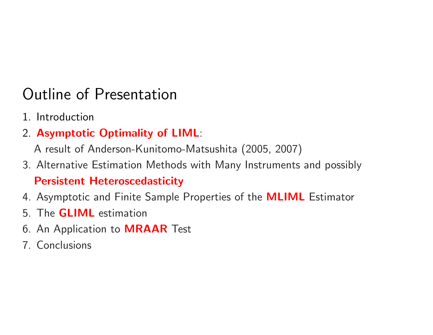# Outline of Presentation

- 1. Introduction
- 2. **Asymptotic Optimality of LIML**:

<sup>A</sup> result of Anderson-Kunitomo-Matsushita (2005, 2007)

- 3. Alternative Estimation Methods with Many Instruments and possibly **Persistent Heteroscedasticity**
- 4. Asymptotic and Finite Sample Properties of the **MLIML** Estimator
- 5. The **GLIML** estimation
- 6. An Application to **MRAAR** Test
- 7. Conclusions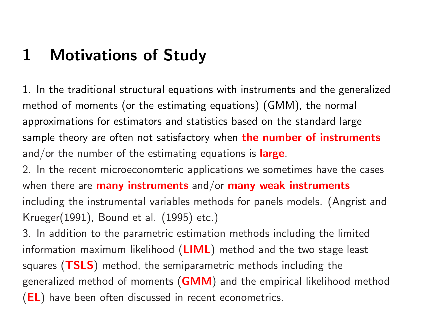# **1 Motivations of Study**

1. In the traditional structural equations with instruments and the generalized method of moments (or the estimating equations) (GMM), the normal approximations for estimators and statistics based on the standard large sample theory are often not satisfactory when **the number of instruments** and/or the number of the estimating equations is **large**.

2. In the recent microeconomteric applications we sometimes have the cases when there are **many instruments** and/or **many weak instruments** including the instrumental variables methods for panels models. (Angrist and Krueger(1991), Bound et al. (1995) etc.)

3. In addition to the parametric estimation methods including the limited information maximum likelihood (**LIML**) method and the two stage least squares (**TSLS**) method, the semiparametric methods including the generalized method of moments (**GMM**) and the empirical likelihood method (**EL**) have been often discussed in recent econometrics.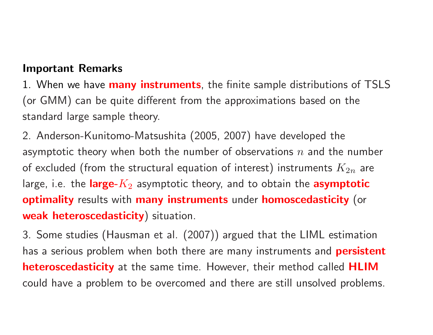#### **Important Remarks**

1. When we have **many instruments**, the finite sample distributions of TSLS (or GMM) can be quite different from the approximations based on the standard large sample theory.

2. Anderson-Kunitomo-Matsushita (2005, 2007) have developed the asymptotic theory when both the number of observations *<sup>n</sup>* and the number of excluded (from the structural equation of interest) instruments  $K_{2n}$  are large, i.e. the **large-***K*<sup>2</sup> asymptotic theory, and to obtain the **asymptotic optimality** results with **many instruments** under **homoscedasticity** (or **weak heteroscedasticity**) situation.

3. Some studies (Hausman et al. (2007)) argued that the LIML estimation has <sup>a</sup> serious problem when both there are many instruments and **persistent heteroscedasticity** at the same time. However, their method called **HLIM** could have <sup>a</sup> problem to be overcomed and there are still unsolved problems.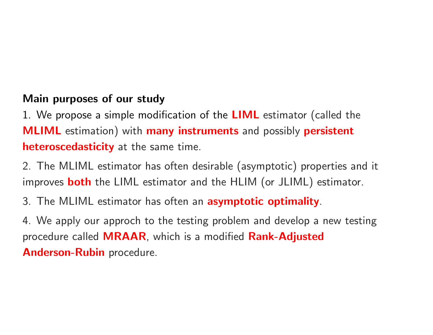### **Main purposes of our study**

1. We propose <sup>a</sup> simple modification of the **LIML** estimator (called the **MLIML** estimation) with **many instruments** and possibly **persistent heteroscedasticity** at the same time.

2. The MLIML estimator has often desirable (asymptotic) properties and it improves **both** the LIML estimator and the HLIM (or JLIML) estimator.

3. The MLIML estimator has often an **asymptotic optimality**.

4. We apply our approch to the testing problem and develop <sup>a</sup> new testing procedure called **MRAAR**, which is <sup>a</sup> modified **Rank-Adjusted Anderson-Rubin** procedure.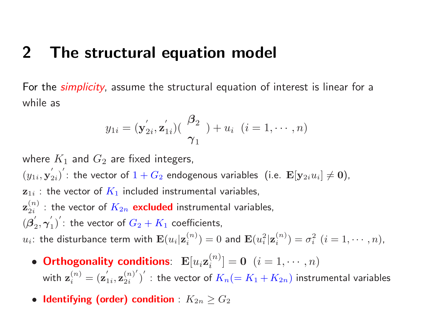### **2 The structural equation model**

For the *simplicity*, assume the structural equation of interest is linear for <sup>a</sup> while as

$$
y_{1i} = (\mathbf{y}_{2i}', \mathbf{z}_{1i}') \left( \begin{array}{c} \boldsymbol{\beta}_2 \\ \boldsymbol{\gamma}_1 \end{array} \right) + u_i \quad (i = 1, \cdots, n)
$$

where  $K_1$  and  $G_2$  are fixed integers,  $(y_{1i}, \mathbf{y})$  $\left(\begin{matrix} \mathbf{z}_i \end{matrix}\right)'$ : the vector of  $1+G_2$  endogenous variables (i.e.  $\mathbf{E}[\mathbf{y}_{2i}u_i] \neq \mathbf{0}),$  $\mathbf{z}_{1i}$  : the vector of  $K_1$  included instrumental variables,  $\mathbf{z}_{2i}^{(n)}$  : the vector of  $K_{2n}$   $\mathsf{excluded}$  instrumental variables,  $\mathbf{z}_{2i}^{(\tau)}$ 1  $\begin{array}{c} \mathbf{r} \ \mathbf{r} \ \mathbf{r} \ \mathbf{r} \ \mathbf{r} \ \mathbf{r} \ \mathbf{r} \ \mathbf{r} \end{array}$  $\binom{1}{1}$   $\!:$  the vector of  $G_2+K_1$  coefficients,  $u_i$ : the disturbance term with  $\mathbf{E}(u_i|\mathbf{z}^{(n)}_i)=0$  and  $\mathbf{E}(u_i^2|\mathbf{z}^{(n)}_i)=\sigma$  $i^2$   $(i = 1, \cdots, n)$ ,

- Orthogonality conditions:  $\mathbf{E}[u_i\mathbf{z}_i^{(n)}]=\mathbf{0} \ \ (i=1,\cdots,n)$ with  $\mathbf{z}^{(n)}_i = (\mathbf{z}$  $\left(\mathbf{z}_{1i}, \mathbf{z}_{2i}^{(n)'}\right)'$  : the vector of  $K_n(=K_1+K_{2n})$  instrumental variables
- $\bullet$  ldentifying (order) condition  $:$   $K_{2n}\geq G_{2}$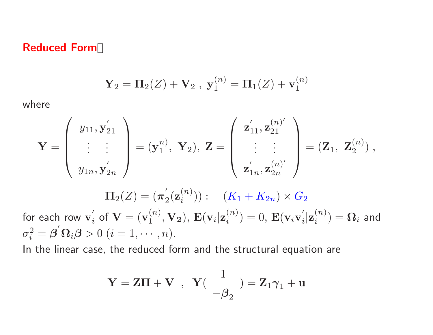#### **Reduced Form**

$$
{\bf Y}_2 = {\bf \Pi}_2(Z) + {\bf V}_2 \ , \ {\bf y}_1^{(n)} = {\bf \Pi}_1(Z) + {\bf v}_1^{(n)}
$$

where

$$
\mathbf{Y} = \left( \begin{array}{c} y_{11}, y_{21}' \\ \vdots \\ y_{1n}, y_{2n}' \end{array} \right) = (\mathbf{y}_1^{n}), \ \mathbf{Y}_2), \ \mathbf{Z} = \left( \begin{array}{c} \mathbf{z}_{11}', \mathbf{z}_{21}^{(n)'} \\ \vdots \\ \mathbf{z}_{1n}', \mathbf{z}_{2n}^{(n)'} \end{array} \right) = (\mathbf{Z}_1, \ \mathbf{Z}_2^{(n)}),
$$

$$
\mathbf{\Pi}_{2}(Z)=(\pi_{2}^{'}(\mathbf{z}_{i}^{(n)})): (K_{1}+K_{2n})\times G_{2}
$$

for each row  $\mathbf{v}_i'$  of  $\mathbf{V} = (\mathbf{v}_1^{(n)}, \mathbf{V_2})$ ,  $\mathbf{E}(\mathbf{v}_i|\mathbf{z}_i^{(n)}) = 0$ ,  $\mathbf{E}(\mathbf{v}_i\mathbf{v}_i'|\mathbf{z}_i^{(n)}) = \mathbf{\Omega}_i$  and  $\sigma_i^2 = \boldsymbol{\beta}' \boldsymbol{\Omega}_i \boldsymbol{\beta} > 0 \ (i = 1, \cdots, n).$ 

In the linear case, the reduced form and the structural equation are

$$
\mathbf{Y} = \mathbf{Z}\mathbf{\Pi} + \mathbf{V} \;\;,\;\; \mathbf{Y}(\begin{array}{c} 1 \\ -\boldsymbol{\beta}_2 \end{array}) = \mathbf{Z}_1 \boldsymbol{\gamma}_1 + \mathbf{u}
$$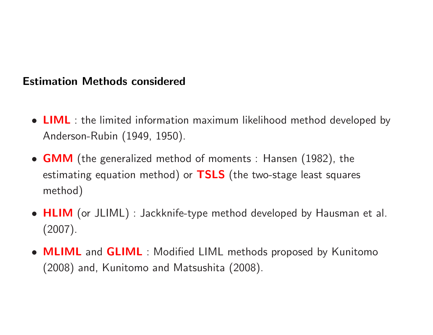### **Estimation Methods considered**

- **LIML** : the limited information maximum likelihood method developed by Anderson-Rubin (1949, 1950).
- **GMM** (the generalized method of moments : Hansen (1982), the estimating equation method) or **TSLS** (the two-stage least squares method)
- **HLIM** (or JLIML) : Jackknife-type method developed by Hausman et al. (2007).
- **MLIML** and **GLIML** : Modified LIML methods proposed by Kunitomo (2008) and, Kunitomo and Matsushita (2008).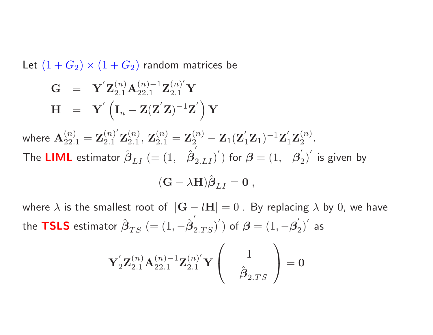Let  $(1+G_2) \times (1+G_2)$  random matrices be

$$
\begin{array}{lll} \mathbf{G} & = & \mathbf{Y}^{'} \mathbf{Z}_{2.1}^{(n)} \mathbf{A}_{22.1}^{(n)-1} \mathbf{Z}_{2.1}^{(n)'} \mathbf{Y} \\ \mathbf{H} & = & \mathbf{Y}^{'} \left( \mathbf{I}_n - \mathbf{Z} (\mathbf{Z}^{'} \mathbf{Z})^{-1} \mathbf{Z}^{'} \right) \mathbf{Y} \end{array}
$$

where  $\mathbf{A}_{22,1}^{(n)} = \mathbf{Z}_{2,1}^{(n)'} \mathbf{Z}_{2,1}^{(n)}$ ,  $\mathbf{Z}_{2,1}^{(n)} = \mathbf{Z}_2^{(n)} - \mathbf{Z}_1 (\mathbf{Z}_1' \mathbf{Z}_1)^{-1} \mathbf{Z}_1' \mathbf{Z}_2^{(n)}$ . The **LIML** estimator *β* ˆ $_{LI}$   $(=(1,-\hat{\boldsymbol{\beta}}% )^{i}$  $\left( \frac{2}{2.LI} \right)^{\prime}$ ) for  $\boldsymbol{\beta} = \left( 1,-\boldsymbol{\beta}_{2}^{'} \right)^{\prime}$  is given by ˆ

$$
(\mathbf{G} - \lambda \mathbf{H}) \boldsymbol{\beta}_{LI} = \mathbf{0} ,
$$

where  $\lambda$  is the smallest root of  $|\mathbf{G} - l\mathbf{H}| = 0$ . By replacing  $\lambda$  by 0, we have the **TSLS** estimator *β* ˆ $_{TS}$   $(=(1,-\hat{\boldsymbol{\beta}}% )^{2}\cdot y^{2})$  $\left( \begin{matrix} \overline{2} \ 2.T S \end{matrix} \right)^{\prime}$ ) of  $\boldsymbol{\beta} = \left( 1, - \boldsymbol{\beta}_{2}^{'} \right)^{\prime}$  as

$$
{\bf Y}_2^{'}{\bf Z}_{2.1}^{(n)}{\bf A}_{22.1}^{(n)-1}{\bf Z}_{2.1}^{(n)'}{\bf Y}\left(\begin{array}{c}1\\-\hat{\boldsymbol{\beta}}_{2.TS}\end{array}\right)={\bf 0}
$$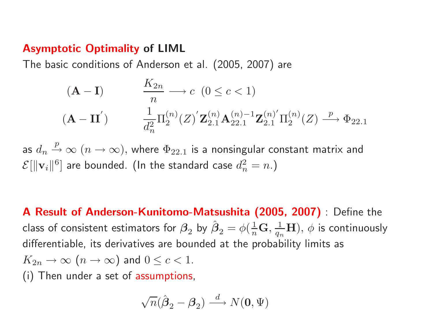### **Asymptotic Optimality of LIML**

The basic conditions of Anderson et al. (2005, 2007) are

$$
\begin{array}{ll}\n\left(\mathbf{A} - \mathbf{I}\right) & \xrightarrow[n]{K_{2n}} \negthickspace \negthickspace \negthickspace \alpha \quad (0 \leq c < 1) \\
\left(\mathbf{A} - \mathbf{II}\right) & \xrightarrow[d_{n}^{2}]{\pi_{2}^{(n)}} \left(\mathbf{Z}\right)^{'} \mathbf{Z}_{2.1}^{(n)} \mathbf{A}_{22.1}^{(n)-1} \mathbf{Z}_{2.1}^{(n)'} \Pi_{2}^{(n)}(Z) \xrightarrow{p} \Phi_{22.1}\n\end{array}
$$

as  $d_n \stackrel{p}{\rightarrow} \infty$   $(n \rightarrow \infty)$ , where  $\Phi_{22.1}$  is a nonsingular constant matrix and  $\mathcal{E}[\|\mathbf{v}_i\|^6]$  are bounded. (In the standard case  $d_n^2 = n$ .)

**<sup>A</sup> Result of Anderson-Kunitomo-Matsushita (2005, 2007)** : Define the  $\,$ class of consistent estimators for  $\beta_2^{}$  by  $\hat{\boldsymbol{\beta}}$  $\phi_2 = \phi(\frac{1}{n}\mathbf{G},\frac{1}{q_n}\mathbf{H}),\, \phi$  is continuously differentiable, its derivatives are bounded at the probability limits as  $K_{2n} \rightarrow \infty$   $(n \rightarrow \infty)$  and  $0 \leq c < 1$ . (i) Then under <sup>a</sup> set of assumptions,

$$
\sqrt{n}(\hat{\boldsymbol{\beta}}_2 - \boldsymbol{\beta}_2) \stackrel{d}{\longrightarrow} N(\mathbf{0}, \Psi)
$$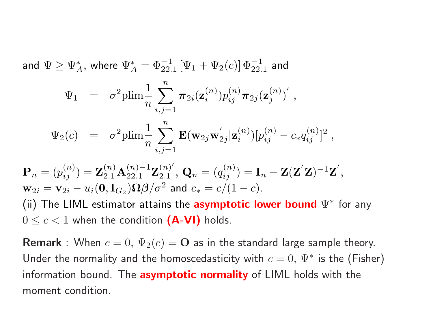and  $\Psi \geq \Psi_{A}^{*}$ , where  $\Psi_{A}^{*} = \Phi_{22.1}^{-1} [\Psi_{1} + \Psi_{2}(c)] \Phi_{22.1}^{-1}$  and

$$
\Psi_1 = \sigma^2 \text{plim} \frac{1}{n} \sum_{i,j=1}^n \pi_{2i}(\mathbf{z}_i^{(n)}) p_{ij}^{(n)} \pi_{2j}(\mathbf{z}_j^{(n)})',
$$
  

$$
\Psi_2(c) = \sigma^2 \text{plim} \frac{1}{n} \sum_{i,j=1}^n \mathbf{E}(\mathbf{w}_{2j} \mathbf{w}_{2j}^{'}|\mathbf{z}_i^{(n)}) [p_{ij}^{(n)} - c_* q_{ij}^{(n)}]^2,
$$

$$
\mathbf{P}_n = (p_{ij}^{(n)}) = \mathbf{Z}_{2.1}^{(n)} \mathbf{A}_{22.1}^{(n)-1} \mathbf{Z}_{2.1}^{(n)'} , \mathbf{Q}_n = (q_{ij}^{(n)}) = \mathbf{I}_n - \mathbf{Z}(\mathbf{Z}'\mathbf{Z})^{-1}\mathbf{Z}',
$$
  
\n
$$
\mathbf{w}_{2i} = \mathbf{v}_{2i} - u_i(\mathbf{0}, \mathbf{I}_{G_2}) \mathbf{\Omega} \boldsymbol{\beta} / \sigma^2 \text{ and } c_* = c/(1-c).
$$
  
\n(ii) The LIML estimator attains the **asymptotic lower bound**  $\Psi^*$  for any  $0 \le c < 1$  when the condition **(A-VI)** holds.

**Remark** : When  $c = 0$ ,  $\Psi_2(c) = \mathbf{O}$  as in the standard large sample theory. Under the normality and the homoscedasticity with  $c = 0$ ,  $\Psi^*$  is the (Fisher) information bound. The **asymptotic normality** of LIML holds with the moment condition.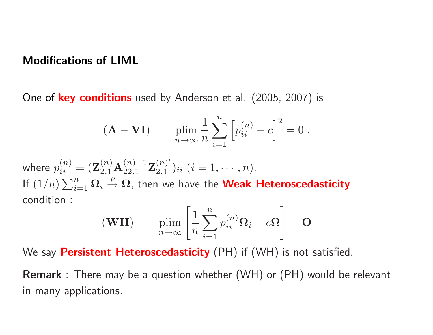#### **Modifications of LIML**

One of **key conditions** used by Anderson et al. (2005, 2007) is

$$
(\mathbf{A} - \mathbf{V}\mathbf{I}) \qquad \lim_{n \to \infty} \frac{1}{n} \sum_{i=1}^{n} \left[ p_{ii}^{(n)} - c \right]^2 = 0,
$$

where  $p_{ii}^{(n)} = (\mathbf{Z}_{2,1}^{(n)} \mathbf{A}_{2,2,1}^{(n)-1} \mathbf{Z}_{2,1}^{(n)'} )_{ii}$   $(i = 1, \cdots, n)$ . If  $(1/n)\sum_{i=1}^n \Omega_i \stackrel{p}{\rightarrow} \Omega$ , then we have the **Weak Heteroscedasticity** condition :

$$
(\mathbf{WH}) \qquad \lim_{n \to \infty} \left[ \frac{1}{n} \sum_{i=1}^{n} p_{ii}^{(n)} \mathbf{\Omega}_i - c \mathbf{\Omega} \right] = \mathbf{O}
$$

We say **Persistent Heteroscedasticity** (PH) if (WH) is not satisfied.

**Remark** : There may be <sup>a</sup> question whether (WH) or (PH) would be relevant in many applications.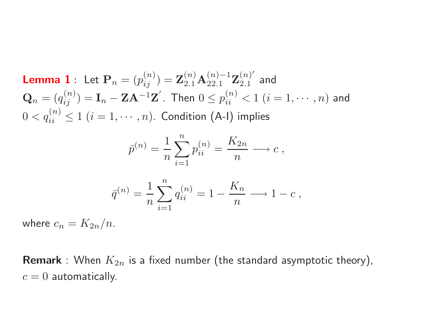**Lemma 1** : Let  $\mathbf{P}_n = (p_{ij}^{(n)}) = \mathbf{Z}_{2,1}^{(n)} \mathbf{A}_{22,1}^{(n)-1} \mathbf{Z}_{2,1}^{(n)}$  and  $\mathbf{Q}_n = (q_{ii}^{(n)}) = \mathbf{I}_n - \mathbf{Z} \mathbf{A}^{-1} \mathbf{Z}'$ . Then  $0 \leq p_{ii}^{(n)} < 1$   $(i = 1, \cdots, n)$  and  $0 < q_{ii}^{(n)} \le 1$   $(i = 1, \cdots, n)$ . Condition (A-I) implies

$$
\bar{p}^{(n)} = \frac{1}{n} \sum_{i=1}^{n} p_{ii}^{(n)} = \frac{K_{2n}}{n} \longrightarrow c,
$$

$$
\bar{q}^{(n)} = \frac{1}{n} \sum_{i=1}^{n} q_{ii}^{(n)} = 1 - \frac{K_n}{n} \longrightarrow 1 - c,
$$

where  $c_n = K_{2n}/n$ .

**Remark** : When  $K_{2n}$  is a fixed number (the standard asymptotic theory),  $c = 0$  automatically.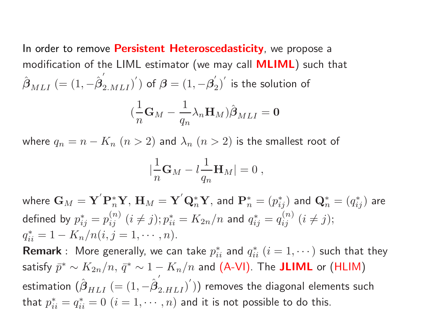In order to remove **Persistent Heteroscedasticity**, we propose <sup>a</sup> modification of the LIML estimator (we may call **MLIML**) such that  $\hat{\boldsymbol{\beta}}$  $_{MLI}$   $(=(1,-\hat{\boldsymbol{\beta}}% )^{i}$  $\left( \begin{smallmatrix} Z & M L I \end{smallmatrix} \right)^{\prime} )$  of  $\boldsymbol{\beta} = \left( 1, - \boldsymbol{\beta}_{2}^{'} \right)^{\prime}$  is the solution of

$$
(\frac{1}{n}\mathbf{G}_M - \frac{1}{q_n}\lambda_n \mathbf{H}_M)\hat{\boldsymbol{\beta}}_{MLI} = \mathbf{0}
$$

where  $q_n = n - K_n$   $(n > 2)$  and  $\lambda_n$   $(n > 2)$  is the smallest root of

$$
|\frac{1}{n}\mathbf{G}_M-l\frac{1}{q_n}\mathbf{H}_M|=0,
$$

where  $\mathbf{G}_M = \mathbf{Y}' \mathbf{P}_n^* \mathbf{Y}$ ,  $\mathbf{H}_M = \mathbf{Y}' \mathbf{Q}_n^* \mathbf{Y}$ , and  $\mathbf{P}_n^* = (p_{ij}^*)$  and  $\mathbf{Q}_n^* = (q_{ij}^*)$  are defined by  $p_{ij}^* = p_{ij}^{(n)}$   $(i \neq j); p_{ii}^* = K_{2n}/n$  and  $q_{ij}^* = q_{ij}^{(n)}$   $(i \neq j);$  $q_{ii}^* = 1 - K_n/n(i, j = 1, \cdots, n).$ 

**Remark** : More generally, we can take  $p_{ii}^*$  and  $q_{ii}^*$   $(i = 1, \dots)$  such that they satisfy  $\bar{p}^* \sim K_{2n}/n$ ,  $\bar{q}^* \sim 1 - K_n/n$  and (A-VI). The **JLIML** or (HLIM) estimation (*β* ˆ $_{HLI}$   $(=(1,-\hat{\boldsymbol{\beta}}% )^{2}\cdot M_{\odot}^{2}$  $\left( \frac{2.}{2.HLI} \right)')$ ) removes the diagonal elements such that  $p_{ii}^* = q_{ii}^* = 0$   $(i = 1, \dots, n)$  and it is not possible to do this.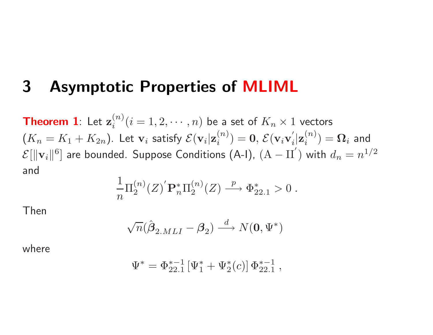### **3 Asymptotic Properties of MLIML**

 $\bf{Theorem\ 1}$ : Let  ${\bf z}^{(n)}_i (i=1,2,\cdots,n)$  be a set of  $K_n\times 1$  vectors  $(K_n=K_1+K_{2n}).$  Let  $\mathbf{v}_i$  satisfy  $\mathcal{E}(\mathbf{v}_i|\mathbf{z}^{(n)}_i)=\mathbf{0},\,\mathcal{E}(\mathbf{v}_i\mathbf{v})$  $\mathbf{z}^{(n)}_i$ )  $= \mathbf{\Omega}_i$  and  $\mathcal{E}[\|\mathbf{v}_i\|^6]$  are bounded. Suppose Conditions (A-I),  $(\mathrm{A}% _i,\mathrm{A})$  $-$  II<sup>'</sup>) with  $d_n = n^{1/2}$ and

$$
\frac{1}{n}\Pi_2^{(n)}(Z)^{'}\mathbf{P}_n^*\Pi_2^{(n)}(Z) \stackrel{p}{\longrightarrow} \Phi_{22.1}^* > 0.
$$

Then

$$
\sqrt{n}(\hat{\pmb{\beta}}_{2.MLI}-\pmb{\beta}_2)\overset{d}{\longrightarrow}N(\pmb{0},\Psi^*)
$$

where

$$
\Psi^* = \Phi_{22.1}^{*-1} [\Psi_1^* + \Psi_2^*(c)] \Phi_{22.1}^{*-1} ,
$$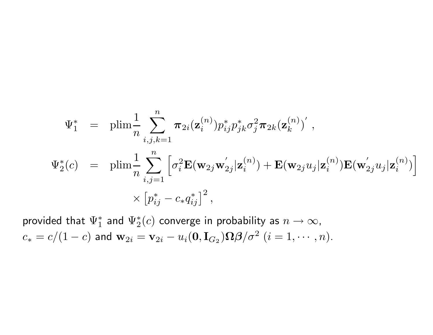$$
\Psi_{1}^{*} = \text{plim}_{n} \frac{1}{n} \sum_{i,j,k=1}^{n} \pi_{2i}(\mathbf{z}_{i}^{(n)}) p_{ij}^{*} p_{jk}^{*} \sigma_{j}^{2} \pi_{2k}(\mathbf{z}_{k}^{(n)})',
$$
\n
$$
\Psi_{2}^{*}(c) = \text{plim}_{n} \frac{1}{n} \sum_{i,j=1}^{n} \left[ \sigma_{i}^{2} \mathbf{E}(\mathbf{w}_{2j} \mathbf{w}_{2j}^{'} | \mathbf{z}_{i}^{(n)}) + \mathbf{E}(\mathbf{w}_{2j} u_{j} | \mathbf{z}_{i}^{(n)}) \mathbf{E}(\mathbf{w}_{2j}^{'} u_{j} | \mathbf{z}_{i}^{(n)}) \right]
$$
\n
$$
\times \left[ p_{ij}^{*} - c_{*} q_{ij}^{*} \right]^{2},
$$

provided that  $\Psi_1^*$  and  $\Psi_2^*(c)$  converge in probability as  $n \to \infty$ ,  $c_* = c/(1-c)$  and  $\mathbf{w}_{2i} = \mathbf{v}_{2i} - u_i(\mathbf{0}, \mathbf{I}_{G_2})\Omega\beta/\sigma^2$   $(i = 1, \cdots, n)$ .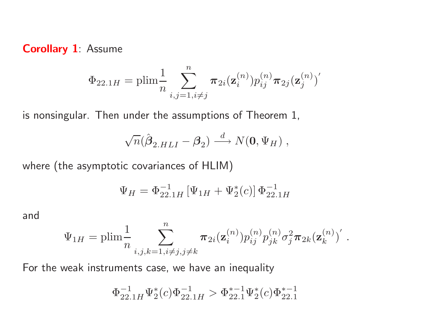**Corollary 1**: Assume

$$
\Phi_{22.1H} = \text{plim}_{n} \frac{1}{n} \sum_{i,j=1, i \neq j}^{n} \pi_{2i}(\mathbf{z}_{i}^{(n)}) p_{ij}^{(n)} \pi_{2j}(\mathbf{z}_{j}^{(n)})'
$$

is nonsingular. Then under the assumptions of Theorem 1,

$$
\sqrt{n}(\hat{\boldsymbol{\beta}}_{2.HLI} - \boldsymbol{\beta}_2) \stackrel{d}{\longrightarrow} N(\mathbf{0}, \Psi_H) ,
$$

where (the asymptotic covariances of HLIM)

$$
\Psi_H = \Phi_{22.1H}^{-1} \left[ \Psi_{1H} + \Psi_2^*(c) \right] \Phi_{22.1H}^{-1}
$$

and

$$
\Psi_{1H} = \text{plim} \frac{1}{n} \sum_{i,j,k=1, i \neq j, j \neq k}^{n} \pi_{2i}(\mathbf{z}_{i}^{(n)}) p_{ij}^{(n)} p_{jk}^{(n)} \sigma_{j}^{2} \pi_{2k}(\mathbf{z}_{k}^{(n)})' .
$$

For the weak instruments case, we have an inequality

$$
\Phi_{22.1H}^{-1} \Psi_2^*(c) \Phi_{22.1H}^{-1} > \Phi_{22.1}^{*-1} \Psi_2^*(c) \Phi_{22.1}^{*-1}
$$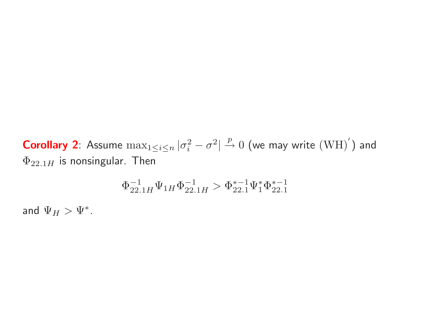**Corollary 2**: Assume  $\max_{1 \leq i \leq n} |\sigma_i^2 - \sigma^2| \overset{p}{\to} 0$  (we may write  $(WH)'$ ) and  $\Phi_{22.1H}$  is nonsingular. Then

$$
\Phi^{-1}_{22.1H}\Psi_{1H}\Phi^{-1}_{22.1H}>\Phi^{*-1}_{22.1}\Psi^*_1\Phi^{*-1}_{22.1}
$$

and  $\Psi_H > \Psi^*$ .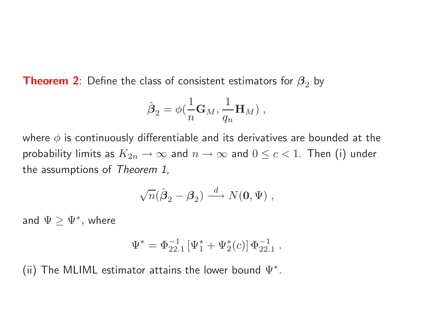**Theorem 2**: Define the class of consistent estimators for  $\boldsymbol{\beta}_2$  by

$$
\hat{\boldsymbol{\beta}}_2 = \phi(\frac{1}{n}\mathbf{G}_M,\frac{1}{q_n}\mathbf{H}_M) \;,
$$

where *φ* is continuously differentiable and its derivatives are bounded at the probability limits as  $K_{2n}\to\infty$  and  $n\to\infty$  and  $0\leq c < 1.$  Then (i) under the assumptions of *Theorem 1*,

$$
\sqrt{n}(\hat{\boldsymbol{\beta}}_2 - \boldsymbol{\beta}_2) \stackrel{d}{\longrightarrow} N(\mathbf{0}, \Psi) ,
$$

and  $\Psi \ge \Psi^*,$  where

$$
\Psi^* = \Phi_{22.1}^{-1} [\Psi_1^* + \Psi_2^*(c)] \Phi_{22.1}^{-1} .
$$

.

(ii) The MLIML estimator attains the lower bound  $\Psi^*$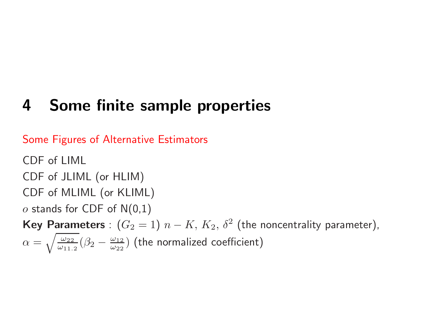# **4 Some finite sample properties**

Some Figures of Alternative Estimators

CDF of LIML CDF of JLIML (or HLIM) CDF of MLIML (or KLIML) *<sup>o</sup>* stands for CDF of N(0,1)  $\mathsf{Key\; Parameters}:\,(G_2=1)\,\,n-1$  $K, K_2, \delta^2$  (the noncentrality parameter),  $\alpha =$  $\sqrt{\frac{\omega_{22}}{\omega_{11}}}$  $\frac{\omega_{22}}{\omega_{11,2}}(\beta_2-\frac{\omega_{12}}{\omega_{22}})$  $\frac{\omega_{12}}{\omega_{22}})$  (the normalized coefficient)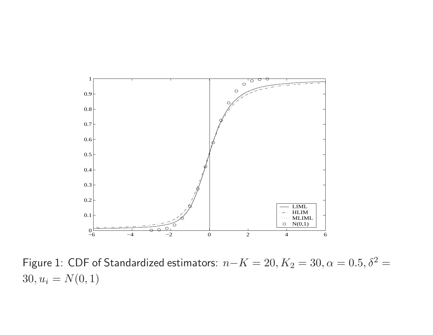

Figure 1: CDF of Standardized estimators:  $n-K = 20, K_2 = 30, \alpha = 0.5, \delta^2 = 0$  $30, u_i = N(0, 1)$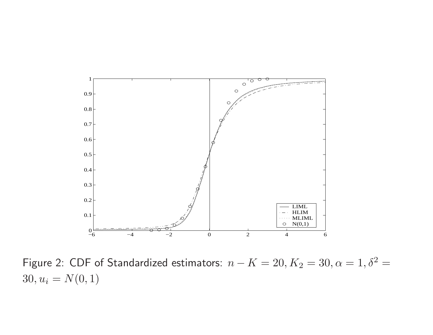

Figure 2: CDF of Standardized estimators:  $n - K = 20, K_2 = 30, \alpha = 1, \delta^2 = 1$  $30, u_i = N(0, 1)$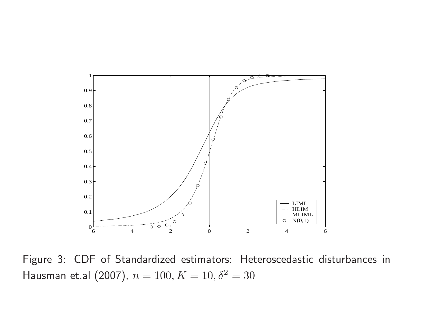

Figure 3: CDF of Standardized estimators: Heteroscedastic disturbances in Hausman et.al (2007),  $n = 100, K = 10, \delta^2 = 30$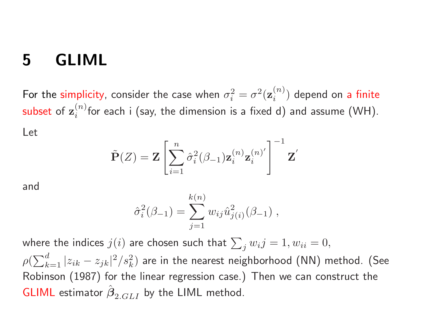### **5 GLIML**

For the simplicity, consider the case when  $\sigma_i^2 = \sigma^2(\mathbf{z}_i^{(n)})$  depend on a finite subset of  $z_i^{(n)}$  for each i (say, the dimension is a fixed d) and assume (WH). Let

$$
\tilde{\mathbf{P}}(Z) = \mathbf{Z} \left[ \sum_{i=1}^{n} \hat{\sigma}_i^2 (\beta_{-1}) \mathbf{z}_i^{(n)} \mathbf{z}_i^{(n)} \right]^{-1} \mathbf{Z}'
$$

and

$$
\hat{\sigma}_i^2(\beta_{-1}) = \sum_{j=1}^{k(n)} w_{ij} \hat{u}_{j(i)}^2(\beta_{-1}),
$$

where the indices  $j(i)$  are chosen such that  $\sum_{i} w_{i}j = 1, w_{ii} = 0,$  $\rho(\sum_{k=1}^d |z_{ik} - z_{jk}|^2/s_k^2)$  are in the nearest neighborhood (NN) method. (See Robinson (1987) for the linear regression case.) Then we can construct the GLIML estimator *β* ˆ $_{2.GLI}$  by the LIML method.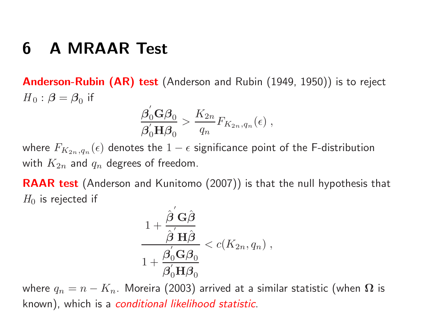## **6 A MRAAR Test**

**Anderson-Rubin (AR) test** (Anderson and Rubin (1949, 1950)) is to reject  $H_0$ :  $\beta = \beta_0$  if

$$
\frac{\beta_0^{'}\mathbf{G}\beta_0}{\beta_0^{'}\mathbf{H}\beta_0} > \frac{K_{2n}}{q_n}F_{K_{2n},q_n}(\epsilon) ,
$$

where  $F_{K_{2n},q_n}(\epsilon)$  denotes the  $1-\epsilon$  significance point of the F-distribution with  $K_{2n}$  and  $q_n$  degrees of freedom.

**RAAR test** (Anderson and Kunitomo (2007)) is that the null hypothesis that  $H_0$  is rejected if

$$
\frac{1 + \frac{\hat{\boldsymbol{\beta}}^{'}\mathbf{G}\hat{\boldsymbol{\beta}}}{\hat{\boldsymbol{\beta}}^{'}\mathbf{H}\hat{\boldsymbol{\beta}}}}{1 + \frac{\boldsymbol{\beta}_{0}^{'}\mathbf{G}\boldsymbol{\beta}_{0}}{\boldsymbol{\beta}_{0}^{'}\mathbf{H}\boldsymbol{\beta}_{0}}} < c(K_{2n}, q_{n}),
$$

where  $q_n = n - K_n$ . Moreira (2003) arrived at a similar statistic (when  $\Omega$  is known), which is <sup>a</sup> *conditional likelihood statistic*.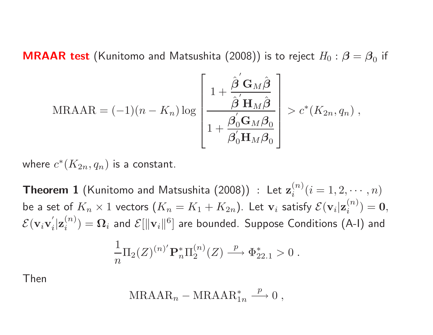$\mathsf{MRAAR}\,$   $\mathsf{test}\,$  (Kunitomo and Matsushita  $(2008))$  is to reject  $H_0: \boldsymbol{\beta} = \boldsymbol{\beta}_0$  if

$$
\text{MRAAR} = (-1)(n - K_n) \log \left[ \frac{1 + \frac{\hat{\beta}^{'} \mathbf{G}_M \hat{\beta}}{\hat{\beta}^{'} \mathbf{H}_M \hat{\beta}}}{1 + \frac{\beta_0^{'} \mathbf{G}_M \beta_0}{\beta_0^{'} \mathbf{H}_M \beta_0}} \right] > c^*(K_{2n}, q_n) ,
$$

where  $c^*(K_{2n},q_n)$  is a constant.

 $\bf{Theorem\ 1}$  (Kunitomo and Matsushita (2008))  $\colon$  Let  $\mathbf{z}_i^{(n)} (i=1,2,\cdots,n)$ be a set of  $K_n\times 1$  vectors  $(K_n=K_1+K_{2n}).$  Let  $\mathbf{v}_i$  satisfy  $\mathcal{E}(\mathbf{v}_i|\mathbf{z}^{(n)}_i)=\mathbf{0},$  $\mathcal{E}(\mathbf{v}_i\mathbf{v})$  $\bm{Z}_i'|\mathbf{z}_i^{(n)}) = \bm{\Omega}_i$  and  $\mathcal{E}[\|\mathbf{v}_i\|^6]$  are bounded. Suppose Conditions (A-I) and 1 *n*  $\Pi_2(Z)^{(n)'}\mathbf{P}_n^*$  $\prod_{{n}}^{\ast}\Pi_2^{(n)}(Z) \stackrel{p}{{\longrightarrow}}$  $\stackrel{P}{\longrightarrow} \Phi_{\alpha}^*$  $_{22.1}^{*}>0$  .

Then

$$
\text{MRAAR}_n - \text{MRAAR}_{1n}^* \xrightarrow{p} 0 ,
$$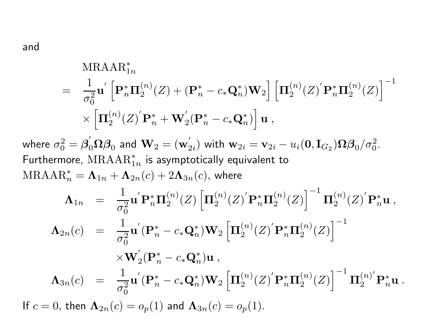and

$$
\begin{array}{rl} \text{MRAAR}_{1n}^{*} & = & \frac{1}{\sigma_{0}^{2}} \mathbf{u}^{'} \left[ \mathbf{P}_{n}^{*} \mathbf{\Pi}_{2}^{(n)}(Z) + (\mathbf{P}_{n}^{*} - c_{*} \mathbf{Q}_{n}^{*}) \mathbf{W}_{2} \right] \left[ \mathbf{\Pi}_{2}^{(n)}(Z)^{'} \mathbf{P}_{n}^{*} \mathbf{\Pi}_{2}^{(n)}(Z) \right]^{-1} \\ & \times \left[ \mathbf{\Pi}_{2}^{(n)}(Z)^{'} \mathbf{P}_{n}^{*} + \mathbf{W}_{2}^{'}(\mathbf{P}_{n}^{*} - c_{*} \mathbf{Q}_{n}^{*}) \right] \mathbf{u} \ , \\ \text{where} \ \sigma_{0}^{2} = \beta_{0}^{'} \Omega \beta_{0} \ \text{and} \ \mathbf{W}_{2} = (\mathbf{w}_{2i}^{'}) \ \text{with} \ \mathbf{w}_{2i} = \mathbf{v}_{2i} - u_{i}(\mathbf{0}, \mathbf{I}_{G_{2}}) \Omega \beta_{0} / \sigma_{0}^{2} . \\ \text{Furthermore, MRAAR}_{1n}^{*} \ \text{is asymptotically equivalent to} \\ \text{MRAAR}_{n}^{*} = \mathbf{\Lambda}_{1n} + \mathbf{\Lambda}_{2n}(c) + 2\mathbf{\Lambda}_{3n}(c), \ \text{where} \\ \mathbf{\Lambda}_{1n} = \frac{1}{\sigma_{0}^{2}} \mathbf{u}^{'} \mathbf{P}_{n}^{*} \mathbf{\Pi}_{2}^{(n)}(Z) \left[ \mathbf{\Pi}_{2}^{(n)}(Z)^{'} \mathbf{P}_{n}^{*} \mathbf{\Pi}_{2}^{(n)}(Z)^{'} \mathbf{P}_{n}^{*} \mathbf{u} \ , \\ \mathbf{\Lambda}_{2n}(c) = \frac{1}{\sigma_{0}^{2}} \mathbf{u}^{'} (\mathbf{P}_{n}^{*} - c_{*} \mathbf{Q}_{n}^{*}) \mathbf{W}_{2} \left[ \mathbf{\Pi}_{2}^{(n)}(Z)^{'} \mathbf{P}_{n}^{*} \mathbf{\Pi}_{2}^{(n)}(Z) \right]^{-1} \\ & \times \mathbf{W}_{2}^{'} (\mathbf{P}_{n}^{*} - c_{*} \mathbf{Q}_{n}^{*}) \mathbf{u} \ , \\ \mathbf{\Lambda}_{3n}(c)
$$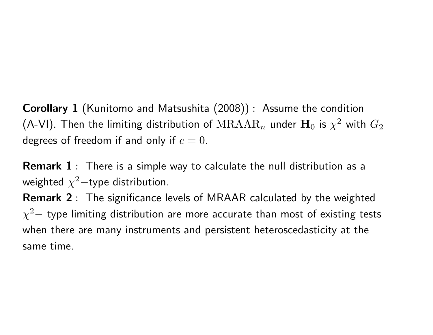**Corollary 1** (Kunitomo and Matsushita (2008)) : Assume the condition (A-VI). Then the limiting distribution of  $\mathrm{MRAAR}_n$  under  $\mathbf{H}_0$  is  $\chi^2$  with  $G_2$ degrees of freedom if and only if  $c=0.$ 

**Remark 1** : There is <sup>a</sup> simple way to calculate the null distribution as <sup>a</sup> weighted *χ*  $^2-$ type distribution.

**Remark 2** : The significance levels of MRAAR calculated by the weighted  $\chi^2 -$  type limiting distribution are more accurate than most of existing tests when there are many instruments and persistent heteroscedasticity at the same time.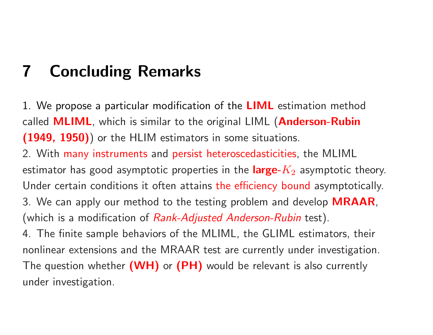# **7 Concluding Remarks**

1. We propose <sup>a</sup> particular modification of the **LIML** estimation method called **MLIML**, which is similar to the original LIML (**Anderson-Rubin (1949, 1950)**) or the HLIM estimators in some situations.

2. With many instruments and persist heteroscedasticities, the MLIML estimator has good asymptotic properties in the **large-***K* <sup>2</sup> asymptotic theory. Under certain conditions it often attains the efficiency bound asymptotically. 3. We can apply our method to the testing problem and develop **MRAAR**, (which is <sup>a</sup> modification of *Rank-Adjusted Anderson-Rubin* test).

4. The finite sample behaviors of the MLIML, the GLIML estimators, their nonlinear extensions and the MRAAR test are currently under investigation. The question whether **(WH)** or **(PH)** would be relevant is also currently under investigation.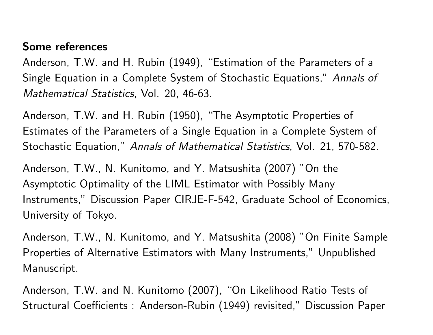#### **Some references**

Anderson, T.W. and H. Rubin (1949), "Estimation of the Parameters of <sup>a</sup> Single Equation in <sup>a</sup> Complete System of Stochastic Equations," *Annals of Mathematical Statistics*, Vol. 20, 46-63.

Anderson, T.W. and H. Rubin (1950), "The Asymptotic Properties of Estimates of the Parameters of <sup>a</sup> Single Equation in <sup>a</sup> Complete System of Stochastic Equation," *Annals of Mathematical Statistics*, Vol. 21, 570-582.

Anderson, T.W., N. Kunitomo, and Y. Matsushita (2007) "On the Asymptotic Optimality of the LIML Estimator with Possibly Many Instruments," Discussion Paper CIRJE-F-542, Graduate School of Economics, University of Tokyo.

Anderson, T.W., N. Kunitomo, and Y. Matsushita (2008) "On Finite Sample Properties of Alternative Estimators with Many Instruments," Unpublished Manuscript.

Anderson, T.W. and N. Kunitomo (2007), "On Likelihood Ratio Tests of Structural Coefficients : Anderson-Rubin (1949) revisited," Discussion Paper